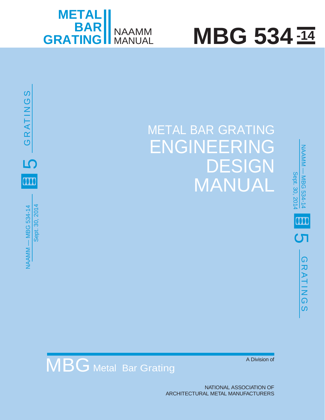

10

m

NAAMM

— MBG 534-14 Sept. 30, 2014

Sept. 30, 2014

**NAAMM - MBG 534-14** 

 $\mathbf{\mathcal{C}}$  $\alpha$ 

ATING

 $\boldsymbol{\omega}$ 

# **MBG** 534  $\overline{114}$



## MBG Metal Bar Grating

A Division of

NATIONAL ASSOCIATION OF ARCHITECTURAL METAL MANUFACTURERS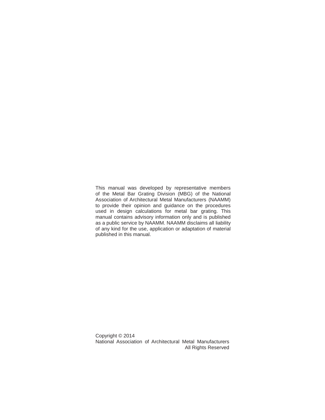This manual was developed by representative members of the Metal Bar Grating Division (MBG) of the National Association of Architectural Metal Manufacturers (NAAMM) to provide their opinion and guidance on the procedures used in design calculations for metal bar grating. This manual contains advisory information only and is published as a public service by NAAMM. NAAMM disclaims all liability of any kind for the use, application or adaptation of material published in this manual.

Copyright © 2014 National Association of Architectural Metal Manufacturers All Rights Reserved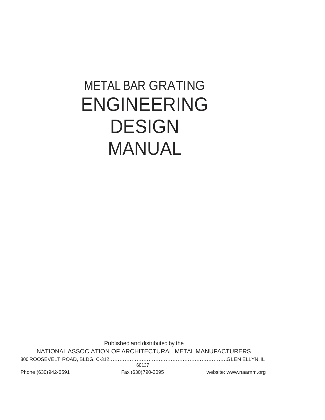### METAL BAR GRATING ENGINEERING DESIGN MANUAL

Published and distributed by the NATIONAL ASSOCIATION OF ARCHITECTURAL METAL MANUFACTURERS

800 ROOSEVELT ROAD, BLDG. C-312.....................................................................GLEN ELLYN, IL 60137

Phone (630)942-6591 Fax (630)790-3095 website: [www.naamm.org](http://www.naamm.org/)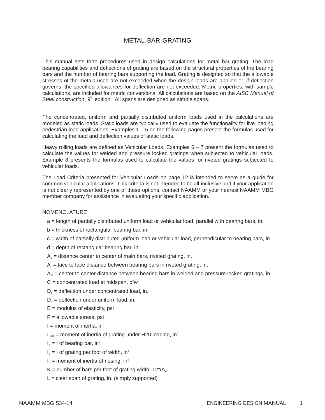#### METAL BAR GRATING

This manual sets forth procedures used in design calculations for metal bar grating. The load bearing capabilities and deflections of grating are based on the structural properties of the bearing bars and the number of bearing bars supporting the load. Grating is designed so that the allowable stresses of the metals used are not exceeded when the design loads are applied or, if deflection governs, the specified allowances for deflection are not exceeded. Metric properties, with sample calculations, are included for metric conversions. All calculations are based on the *AISC Manual of Steel construction*, 9<sup>th</sup> edition. All spans are designed as simple spans.

The concentrated, uniform and partially distributed uniform loads used in the calculations are modeled as static loads. Static loads are typically used to evaluate the functionality for live loading pedestrian load applications. Examples 1 – 5 on the following pages present the formulas used for calculating the load and deflection values of static loads.

Heavy rolling loads are defined as Vehicular Loads. Examples  $6 - 7$  present the formulas used to calculate the values for welded and pressure locked gratings when subjected to vehicular loads. Example 8 presents the formulas used to calculate the values for riveted gratings subjected to vehicular loads.

The Load Criteria presented for Vehicular Loads on page 12 is intended to serve as a guide for common vehicular applications. This criteria is not intended to be all-inclusive and if your application is not clearly represented by one of these options, contact NAAMM or your nearest NAAMM MBG member company for assistance in evaluating your specific application.

#### NOMENCLATURE

- a = length of partially distributed uniform load or vehicular load, parallel with bearing bars, in.
- $b =$  thickness of rectangular bearing bar, in.
- c = width of partially distributed uniform load or vehicular load, perpendicular to bearing bars, in.
- $d =$  depth of rectangular bearing bar, in.
- $A<sub>c</sub>$  = distance center to center of main bars, riveted grating, in.
- $A<sub>r</sub>$  = face to face distance between bearing bars in riveted grating, in.
- $A_w$  = center to center distance between bearing bars in welded and pressure locked gratings, in.
- $C =$  concentrated load at midspan, pfw
- $D_c$  = deflection under concentrated load, in.
- $D_{u}$  = deflection under uniform load, in.
- $E =$  modulus of elasticity, psi
- $F =$  allowable stress, psi
- $I =$  moment of inertia, in<sup>4</sup>
- $I_{H20}$  = moment of inertia of grating under H20 loading, in<sup>4</sup>
- $I<sub>b</sub> = I$  of bearing bar, in<sup>4</sup>
- $I<sub>g</sub> = I$  of grating per foot of width, in<sup>4</sup>
- $I_n$  = moment of inertia of nosing, in<sup>4</sup>
- K = number of bars per foot of grating width,  $12^{\degree}$ /A<sub>w</sub>
- $L =$  clear span of grating, in. (simply supported)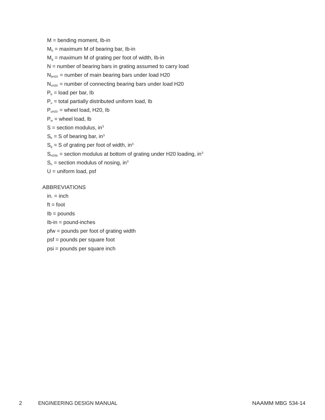$M =$  bending moment, Ib-in

- $M_b$  = maximum M of bearing bar, Ib-in
- $M<sub>a</sub>$  = maximum M of grating per foot of width, Ib-in
- $N =$  number of bearing bars in grating assumed to carry load

 $N<sub>bH20</sub>$  = number of main bearing bars under load H20

 $N<sub>ch20</sub>$  = number of connecting bearing bars under load H20

 $P_b$  = load per bar, Ib

 $P_u$  = total partially distributed uniform load, Ib

- $P_{uH20}$  = wheel load, H20, lb
- $P_w$  = wheel load, lb
- $S =$  section modulus, in<sup>3</sup>
- $S_b = S$  of bearing bar, in<sup>3</sup>
- $S_q = S$  of grating per foot of width, in<sup>3</sup>
- $S_{H20b}$  = section modulus at bottom of grating under H20 loading, in<sup>3</sup>
- $S_n$  = section modulus of nosing, in<sup>3</sup>
- $U =$  uniform load, psf

#### ABBREVIATIONS

- $in. = inch$
- $ft = foot$
- $Ib = pounds$
- Ib-in = pound-inches
- pfw = pounds per foot of grating width
- psf = pounds per square foot
- psi = pounds per square inch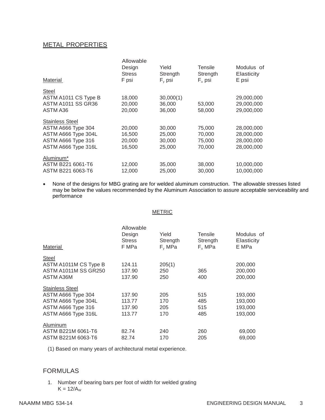#### METAL PROPERTIES

| Material                                                                                                         | Allowable<br>Design<br><b>Stress</b><br>F psi | Yield<br>Strength<br>$F_v$ psi       | Tensile<br>Strength<br>$F_{u}$ psi   | Modulus of<br><b>Elasticity</b><br>E psi             |
|------------------------------------------------------------------------------------------------------------------|-----------------------------------------------|--------------------------------------|--------------------------------------|------------------------------------------------------|
| Steel<br>ASTM A1011 CS Type B<br><b>ASTM A1011 SS GR36</b><br>ASTM A36                                           | 18,000<br>20,000<br>20,000                    | 30,000(1)<br>36,000<br>36,000        | 53,000<br>58,000                     | 29,000,000<br>29,000,000<br>29,000,000               |
| <b>Stainless Steel</b><br>ASTM A666 Type 304<br>ASTM A666 Type 304L<br>ASTM A666 Type 316<br>ASTM A666 Type 316L | 20,000<br>16,500<br>20,000<br>16,500          | 30,000<br>25,000<br>30,000<br>25,000 | 75,000<br>70,000<br>75,000<br>70,000 | 28,000,000<br>28,000,000<br>28,000,000<br>28,000,000 |
| Aluminum <sup>*</sup><br>ASTM B221 6061-T6<br>ASTM B221 6063-T6                                                  | 12,000<br>12.000                              | 35,000<br>25,000                     | 38,000<br>30,000                     | 10,000,000<br>10,000,000                             |

• None of the designs for MBG grating are for welded aluminum construction. The allowable stresses listed may be below the values recommended by the Aluminum Association to assure acceptable serviceability and performance

#### METRIC

| <b>Material</b>             | Allowable<br>Design<br><b>Stress</b><br>F MPa | Yield<br>Strength<br>$F_v$ MPa | Tensile<br>Strength<br>F <sub>u</sub> MPa | Modulus of<br>Elasticity<br>E MPa |
|-----------------------------|-----------------------------------------------|--------------------------------|-------------------------------------------|-----------------------------------|
| <b>Steel</b>                |                                               |                                |                                           |                                   |
| ASTM A1011M CS Type B       | 124.11                                        | 205(1)                         |                                           | 200,000                           |
| <b>ASTM A1011M SS GR250</b> | 137.90                                        | 250                            | 365                                       | 200,000                           |
| ASTM A36M                   | 137.90                                        | 250                            | 400                                       | 200,000                           |
| <b>Stainless Steel</b>      |                                               |                                |                                           |                                   |
| ASTM A666 Type 304          | 137.90                                        | 205                            | 515                                       | 193,000                           |
| ASTM A666 Type 304L         | 113.77                                        | 170                            | 485                                       | 193,000                           |
| ASTM A666 Type 316          | 137.90                                        | 205                            | 515                                       | 193,000                           |
| ASTM A666 Type 316L         | 113.77                                        | 170                            | 485                                       | 193,000                           |
| Aluminum                    |                                               |                                |                                           |                                   |
| ASTM B221M 6061-T6          | 82.74                                         | 240                            | 260                                       | 69,000                            |
| ASTM B221M 6063-T6          | 82.74                                         | 170                            | 205                                       | 69,000                            |

(1) Based on many years of architectural metal experience.

#### FORMULAS

1. Number of bearing bars per foot of width for welded grating  $K = 12/A<sub>w</sub>$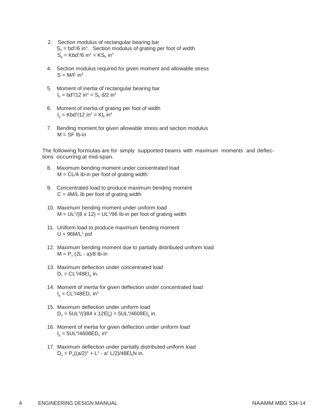- 2. Section modulus of rectangular bearing bar  $S_b = bd^2/6$  in<sup>3</sup>. Section modulus of grating per foot of width  $S_g = Kbd^2/6$  in<sup>3</sup> = KS<sub>b</sub> in<sup>3</sup>
- 4. Section modulus required for given moment and allowable stress  $S = M/F$  in<sup>3</sup>
- 5. Moment of inertia of rectangular bearing bar  $I_{b} = bd^{3}/12$  in<sup>4</sup> =  $S_{b}$  d/2 in<sup>4</sup>
- 6. Moment of inertia of grating per foot of width  $I_g = Kbd^3/12$  in<sup>4</sup> = Kl<sub>b</sub> in<sup>4</sup>
- 7. Bending moment for given allowable stress and section modulus  $M = SF$  Ib-in

The following formulas are for simply supported beams with maximum moments and deflections occurring at mid-span.

- 8. Maximum bending moment under concentrated load  $M = CL/4$  Ib-in per foot of grating width
- 9. Concentrated load to produce maximum bending moment  $C = 4M/L$  Ib per foot of grating width
- 10. Maximum bending moment under uniform load  $M = UL^2/(8 \times 12) = UL^2/96$  lb-in per foot of grating width
- 11. Uniform load to produce maximum bending moment  $U = 96M/L^2$  psf
- 12. Maximum bending moment due to partially distributed uniform load  $M = P_u (2L - a)/8$  lb-in
- 13. Maximum deflection under concentrated load  $D_c = CL^3/48EI_g$  in.
- 14. Moment of inertia for given deflection under concentrated load  $I_g = CL^3/48ED_c$  in<sup>4</sup>
- 15. Maximum deflection under uniform load  $D_u = 5UL^4/(384 \times 12El_g) = 5UL^4/4608El_g$  in.
- 16. Moment of inertia for given deflection under uniform load  $I_g = 5UL^4/4608ED_u$  in<sup>4</sup>
- 17. Maximum deflection under partially distributed uniform load  $D_u = P_u((a/2)^3 + L^3 - a^2 L/2)/48EI_bN$  in.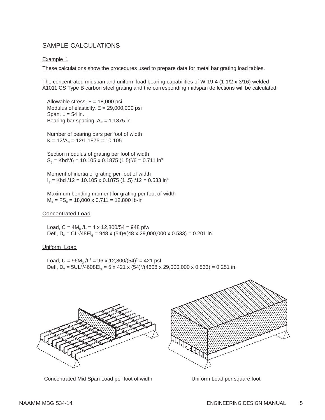#### SAMPLE CALCULATIONS

#### Example 1

These calculations show the procedures used to prepare data for metal bar grating load tables.

The concentrated midspan and uniform load bearing capabilities of W-19-4 (1-1/2 x 3/16) welded A1011 CS Type B carbon steel grating and the corresponding midspan deflections will be calculated.

Allowable stress,  $F = 18,000$  psi Modulus of elasticity,  $E = 29,000,000$  psi Span,  $L = 54$  in. Bearing bar spacing,  $A_w = 1.1875$  in.

Number of bearing bars per foot of width  $K = 12/A_w = 12/1.1875 = 10.105$ 

Section modulus of grating per foot of width  $S_g = Kbd^2/6 = 10.105 \times 0.1875 (1.5)^2/6 = 0.711$  in<sup>3</sup>

Moment of inertia of grating per foot of width  $I_g = Kbd^3/12 = 10.105 \times 0.1875 (1.5)^3/12 = 0.533$  in<sup>4</sup>

Maximum bending moment for grating per foot of width  $M<sub>g</sub> = FS<sub>g</sub> = 18,000 \times 0.711 = 12,800$  lb-in

#### Concentrated Load

Load,  $C = 4M_a / L = 4 \times 12,800/54 = 948$  pfw Defl,  $D_c = CL^3/48EI_a = 948 \times (54)^3/(48 \times 29,000,000 \times 0.533) = 0.201$  in.

#### Uniform Load

Load,  $U = 96M_a / L^2 = 96 \times 12,800/(54)^2 = 421$  psf Defl, D<sub>u</sub> = 5UL<sup>4</sup>/4608El<sub>g</sub> = 5 x 421 x (54)<sup>4</sup>/(4608 x 29,000,000 x 0.533) = 0.251 in.



Concentrated Mid Span Load per foot of width Uniform Load per square foot

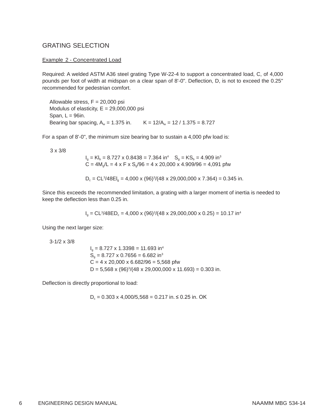#### GRATING SELECTION

#### Example 2 - Concentrated Load

Required: A welded ASTM A36 steel grating Type W-22-4 to support a concentrated load, C, of 4,000 pounds per foot of width at midspan on a clear span of 8'-0". Deflection, D, is not to exceed the 0.25" recommended for pedestrian comfort.

Allowable stress,  $F = 20,000$  psi Modulus of elasticity,  $E = 29,000,000$  psi Span,  $L = 96$ in. Bearing bar spacing,  $A_w = 1.375$  in.  $K = 12/A_w = 12 / 1.375 = 8.727$ 

For a span of 8'-0", the minimum size bearing bar to sustain a 4,000 pfw load is:

3 x 3/8

 $I<sub>g</sub> = KI<sub>b</sub> = 8.727 \times 0.8438 = 7.364 \text{ in}^4 \quad S<sub>g</sub> = KS<sub>b</sub> = 4.909 \text{ in}^3$  $C = 4M<sub>g</sub>/L = 4 \times F \times S<sub>g</sub>/96 = 4 \times 20,000 \times 4.909/96 = 4,091$  pfw

$$
D_c = CL^3/48EI_g = 4,000 \times (96)^3/(48 \times 29,000,000 \times 7.364) = 0.345
$$
 in.

Since this exceeds the recommended limitation, a grating with a larger moment of inertia is needed to keep the deflection less than 0.25 in.

 $I_g = CL^3/48ED_c = 4,000 \times (96)^3/(48 \times 29,000,000 \times 0.25) = 10.17 \text{ in}^4$ 

Using the next larger size:

3-1/2 x 3/8

 $I<sub>g</sub> = 8.727 \times 1.3398 = 11.693$  in<sup>4</sup>  $S_q = 8.727 \times 0.7656 = 6.682 \text{ in}^3$  $C = 4 \times 20,000 \times 6.682/96 = 5,568$  pfw D = 5,568 x (96)3 /(48 x 29,000,000 x 11.693) = 0.303 in.

Deflection is directly proportional to load:

$$
D_c = 0.303 \times 4,000/5,568 = 0.217
$$
 in.  $\leq 0.25$  in. OK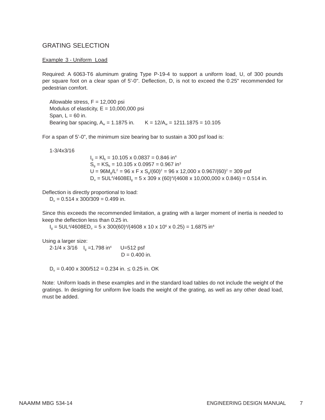#### GRATING SELECTION

#### Example 3 - Uniform Load

Required: A 6063-T6 aluminum grating Type P-19-4 to support a uniform load, U, of 300 pounds per square foot on a clear span of 5'-0". Deflection, D, is not to exceed the 0.25" recommended for pedestrian comfort.

Allowable stress,  $F = 12,000$  psi Modulus of elasticity,  $E = 10,000,000$  psi Span,  $L = 60$  in. Bearing bar spacing,  $A_w = 1.1875$  in.  $K = 12/A_w = 1211.1875 = 10.105$ 

For a span of 5'-0", the minimum size bearing bar to sustain a 300 psf load is:

1-3/4x3/16

 $I_q = K I_b = 10.105 \times 0.0837 = 0.846$  in<sup>4</sup>  $S<sub>a</sub> = KS<sub>b</sub> = 10.105 \times 0.0957 = 0.967$  in<sup>3</sup>  $U = 96M<sub>g</sub>/L<sup>2</sup> = 96 \times F \times S<sub>g</sub>/(60)<sup>2</sup> = 96 \times 12,000 \times 0.967/(60)<sup>2</sup> = 309 \text{ psf}$  $D_u = 5UL^4/4608EI_g = 5 \times 309 \times (60)^4/(4608 \times 10,000,000 \times 0.846) = 0.514$  in.

Deflection is directly proportional to load:

 $D_u = 0.514 \times 300/309 = 0.499$  in.

Since this exceeds the recommended limitation, a grating with a larger moment of inertia is needed to keep the deflection less than 0.25 in.

 $I_g = 5UL^{4}/4608ED_u = 5 \times 300(60)^{4}/(4608 \times 10 \times 10^{6} \times 0.25) = 1.6875$  in<sup>4</sup>

Using a larger size:

2-1/4 x 3/16  $I<sub>a</sub> = 1.798$  in<sup>4</sup> U=512 psf  $D = 0.400$  in.

 $D_u = 0.400 \times 300/512 = 0.234$  in.  $\leq 0.25$  in. OK

Note: Uniform loads in these examples and in the standard load tables do not include the weight of the gratings. In designing for uniform live loads the weight of the grating, as well as any other dead load, must be added.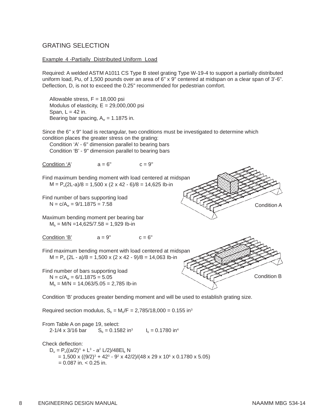#### GRATING SELECTION

#### Example 4 -Partially Distributed Uniform Load

Required: A welded ASTM A1011 CS Type B steel grating Type W-19-4 to support a partially distributed uniform load, Pu, of 1,500 pounds over an area of 6" x 9" centered at midspan on a clear span of 3'-6". Deflection, D, is not to exceed the 0.25" recommended for pedestrian comfort.

Allowable stress,  $F = 18,000$  psi Modulus of elasticity,  $E = 29,000,000$  psi Span,  $L = 42$  in. Bearing bar spacing,  $A_w = 1.1875$  in.

Since the 6" x 9" load is rectangular, two conditions must be investigated to determine which condition places the greater stress on the grating:

Condition 'A' - 6" dimension parallel to bearing bars Condition 'B' - 9" dimension parallel to bearing bars

Condition 'A'  $a = 6$ "  $c = 9$ "

Find maximum bending moment with load centered at midspan  $M = P_u(2L-a)/8 = 1,500 \times (2 \times 42 - 6)/8 = 14,625$  lb-in

Find number of bars supporting load  $N = c/A_w = 9/1.1875 = 7.58$ 

Maximum bending moment per bearing bar  $M_b = M/N = 14,625/7.58 = 1,929$  lb-in

Condition 'B'  $a = 9$ "  $c = 6$ "

Find maximum bending moment with load centered at midspan  $M = P_u (2L - a)/8 = 1,500 \times (2 \times 42 - 9)/8 = 14,063$  lb-in

Find number of bars supporting load  $N = c/A_w = 6/1.1875 = 5.05$  $M_b = M/N = 14,063/5.05 = 2,785$  lb-in Condition B

Condition 'B' produces greater bending moment and will be used to establish grating size.

Required section modulus,  $S_b = M_b/F = 2,785/18,000 = 0.155$  in<sup>3</sup>

From Table A on page 19, select: 2-1/4 x 3/16 bar  $S_b = 0.1582$  in<sup>3</sup>  $I_b = 0.1780$  in<sup>4</sup>

Check deflection:  $D_u = P_u((a/2)^3 + L^3 - a^2 L/2)/48EI_b N$  $= 1,500 \times ((9/2)^3 + 42^3 - 9^2 \times 42/2)/(48 \times 29 \times 10^6 \times 0.1780 \times 5.05)$  $= 0.087$  in.  $< 0.25$  in.



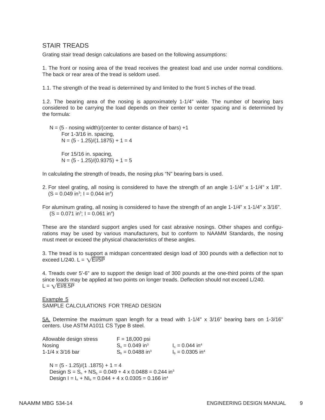#### STAIR TREADS

Grating stair tread design calculations are based on the following assumptions:

1. The front or nosing area of the tread receives the greatest load and use under normal conditions. The back or rear area of the tread is seldom used.

1.1. The strength of the tread is determined by and limited to the front 5 inches of the tread.

1.2. The bearing area of the nosing is approximately 1-1/4" wide. The number of bearing bars considered to be carrying the load depends on their center to center spacing and is determined by the formula:

 $N = (5 -$  nosing width)/(center to center distance of bars)  $+1$ For 1-3/16 in. spacing,  $N = (5 - 1.25)/(1.1875) + 1 = 4$ For 15/16 in. spacing,  $N = (5 - 1.25)/(0.9375) + 1 = 5$ 

In calculating the strength of treads, the nosing plus "N" bearing bars is used.

2. For steel grating, all nosing is considered to have the strength of an angle 1-1/4" x 1-1/4" x 1/8".  $(S = 0.049 \text{ in}^3; I = 0.044 \text{ in}^4)$ 

For aluminum grating, all nosing is considered to have the strength of an angle 1-1/4" x 1-1/4" x 3/16".  $(S = 0.071 \text{ in}^3; I = 0.061 \text{ in}^4)$ 

These are the standard support angles used for cast abrasive nosings. Other shapes and configurations may be used by various manufacturers, but to conform to NAAMM Standards, the nosing must meet or exceed the physical characteristics of these angles.

3. The tread is to support a midspan concentrated design load of 300 pounds with a deflection not to exceed L/240. L =  $\sqrt{E1/5P}$ 

4. Treads over 5'-6" are to support the design load of 300 pounds at the one-third points of the span since loads may be applied at two points on longer treads. Deflection should not exceed L/240.  $L = \sqrt{EI/8.5P}$ 

Example 5 SAMPLE CALCULATIONS FOR TREAD DESIGN

5A. Determine the maximum span length for a tread with 1-1/4" x 3/16" bearing bars on 1-3/16" centers. Use ASTM A1011 CS Type B steel.

| Allowable design stress | $F = 18,000$ psi               |                                |
|-------------------------|--------------------------------|--------------------------------|
| Nosing                  | $S_n = 0.049$ in <sup>3</sup>  | $I_n = 0.044$ in <sup>4</sup>  |
| 1-1/4 x 3/16 bar        | $S_h = 0.0488$ in <sup>3</sup> | $I_h = 0.0305$ in <sup>4</sup> |

 $N = (5 - 1.25)/(1.1875) + 1 = 4$ Design  $S = S_n + NS_h = 0.049 + 4 \times 0.0488 = 0.244$  in<sup>3</sup> Design  $I = I_n + NI_b = 0.044 + 4 \times 0.0305 = 0.166$  in<sup>4</sup>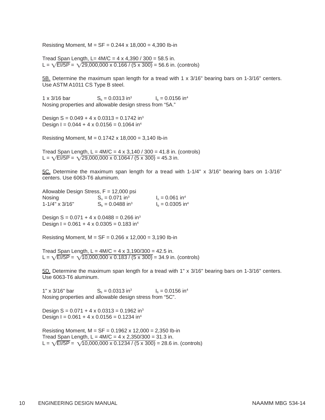Resisting Moment,  $M = SF = 0.244 \times 18,000 = 4,390$  lb-in

Tread Span Length, L=  $4M/C = 4 \times 4,390 / 300 = 58.5$  in. L =  $\sqrt{\frac{\text{E}}{5}}$  =  $\sqrt{\frac{29,000,000 \times 0.166}{10.6}}$  (5 x 300) = 56.6 in. (controls)

5B. Determine the maximum span length for a tread with 1 x 3/16" bearing bars on 1-3/16" centers. Use ASTM A1011 CS Type B steel.

1 x 3/16 bar  $S_b = 0.0313$  in<sup>3</sup>  $I_b = 0.0156$  in<sup>4</sup> Nosing properties and allowable design stress from "5A."

Design  $S = 0.049 + 4 \times 0.0313 = 0.1742$  in<sup>3</sup> Design  $I = 0.044 + 4 \times 0.0156 = 0.1064$  in<sup>4</sup>

Resisting Moment, M = 0.1742 x 18,000 = 3,140 Ib-in

Tread Span Length,  $L = 4M/C = 4 \times 3,140 / 300 = 41.8$  in. (controls) L =  $\sqrt{\frac{\text{E}}{5}}$  =  $\sqrt{\frac{29,000,000 \times 0.1064}{(5 \times 300)}}$  = 45.3 in.

5C. Determine the maximum span length for a tread with 1-1/4" x 3/16" bearing bars on 1-3/16" centers. Use 6063-T6 aluminum.

Allowable Design Stress,  $F = 12,000$  psi Nosing  $S_n = 0.071 \text{ in}^3$   $I_n = 0.061 \text{ in}^4$ 1-1/4" x 3/16"  $S_b = 0.0488$  in<sup>3</sup>  $I_b = 0.0305$  in<sup>4</sup>

Design  $S = 0.071 + 4 \times 0.0488 = 0.266$  in<sup>3</sup> Design  $I = 0.061 + 4 \times 0.0305 = 0.183$  in<sup>4</sup>

Resisting Moment,  $M = SF = 0.266 \times 12,000 = 3,190$  lb-in

Tread Span Length,  $L = 4M/C = 4 \times 3,190/300 = 42.5$  in. L =  $\sqrt{\frac{\text{E}}{5}}$  =  $\sqrt{\frac{10,000,000 \times 0.183}{(5 \times 300)}}$  = 34.9 in. (controls)

5D. Determine the maximum span length for a tread with 1" x 3/16" bearing bars on 1-3/16" centers. Use 6063-T6 aluminum.

1" x 3/16" bar  $S_b = 0.0313$  in<sup>3</sup> I<sub>b</sub> = 0.0156 in<sup>4</sup> Nosing properties and allowable design stress from "5C".

Design  $S = 0.071 + 4 \times 0.0313 = 0.1962$  in<sup>3</sup> Design  $I = 0.061 + 4 \times 0.0156 = 0.1234$  in<sup>4</sup>

Resisting Moment,  $M = SF = 0.1962 \times 12,000 = 2,350$  lb-in Tread Span Length,  $L = 4M/C = 4 \times 2,350/300 = 31.3$  in. L =  $\sqrt{\text{E}1/5\text{P}}$  =  $\sqrt{10,000,000 \times 0.1234 / (5 \times 300)}$  = 28.6 in. (controls)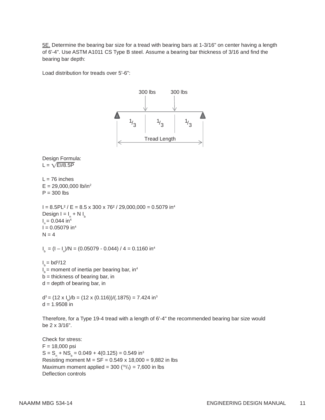5E. Determine the bearing bar size for a tread with bearing bars at 1-3/16" on center having a length of 6'-4". Use ASTM A1011 CS Type B steel. Assume a bearing bar thickness of 3/16 and find the bearing bar depth:

Load distribution for treads over 5'-6":



 $S = S_n + NS_b = 0.049 + 4(0.125) = 0.549$  in<sup>3</sup> F = 18,000 psi Resisting moment  $M = SF = 0.549 \times 18,000 = 9,882$  in lbs Maximum moment applied =  $300 (^{76}/_3) = 7,600$  in lbs Deflection controls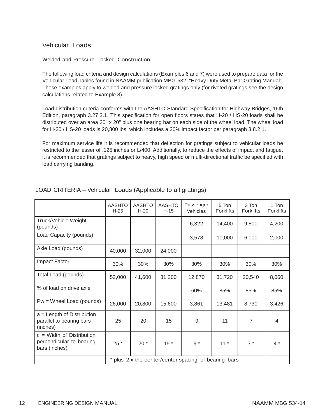#### Vehicular Loads

#### Welded and Pressure Locked Construction

The following load criteria and design calculations (Examples 6 and 7) were used to prepare data for the Vehicular Load Tables found in NAAMM publication MBG-532, "Heavy Duty Metal Bar Grating Manual". These examples apply to welded and pressure locked gratings only (for riveted gratings see the design calculations related to Example 8).

Load distribution criteria conforms with the AASHTO Standard Specification for Highway Bridges, 16th Edition, paragraph 3.27.3.1. This specification for open floors states that H-20 / HS-20 loads shall be distributed over an area 20" x 20" plus one bearing bar on each side of the wheel load. The wheel load for H-20 / HS-20 loads is 20,800 lbs. which includes a 30% impact factor per paragraph 3.8.2.1.

For maximum service life it is recommended that deflection for gratings subject to vehicular loads be restricted to the lesser of .125 inches or L/400. Additionally, to reduce the effects of impact and fatigue, it is recommended that gratings subject to heavy, high speed or multi-directional traffic be specified with load carrying banding.

|                                                                          | <b>AASHTO</b><br>$H-25$                              | <b>AASHTO</b><br>$H-20$ | <b>AASHTO</b><br>$H-15$ | Passenger<br>Vehicles | 5 Ton<br><b>Forklifts</b> | 3 Ton<br><b>Forklifts</b> | 1 Ton<br><b>Forklifts</b> |
|--------------------------------------------------------------------------|------------------------------------------------------|-------------------------|-------------------------|-----------------------|---------------------------|---------------------------|---------------------------|
| Truck/Vehicle Weight<br>(pounds)                                         |                                                      |                         |                         | 6,322                 | 14,400                    | 9,800                     | 4,200                     |
| Load Capacity (pounds)                                                   |                                                      |                         |                         | 3,578                 | 10,000                    | 6,000                     | 2,000                     |
| Axle Load (pounds)                                                       | 40,000                                               | 32,000                  | 24,000                  |                       |                           |                           |                           |
| Impact Factor                                                            | 30%                                                  | 30%                     | 30%                     | 30%<br>30%            |                           | 30%                       | 30%                       |
| Total Load (pounds)                                                      | 52,000                                               | 41,600                  | 31,200                  | 12,870                | 31,720                    | 20,540                    | 8,060                     |
| % of load on drive axle                                                  |                                                      |                         |                         | 60%                   | 85%                       | 85%                       | 85%                       |
| $Pw =$ Wheel Load (pounds)                                               | 26,000                                               | 20,800                  | 15,600                  | 3,861                 | 13,481                    | 8,730                     | 3,426                     |
| $a =$ Length of Distribution<br>parallel to bearing bars<br>(inches)     | 25                                                   | 20                      | 15                      | 9                     | 11                        | $\overline{7}$            | 4                         |
| $c =$ Width of Distribution<br>perpendicular to bearing<br>bars (inches) | 25 *                                                 | $20*$                   | $15*$                   | $9 *$                 | $11 *$                    | $7 *$                     | $4 *$                     |
|                                                                          | * plus 2 x the center/center spacing of bearing bars |                         |                         |                       |                           |                           |                           |

#### LOAD CRITERIA – Vehicular Loads (Applicable to all gratings)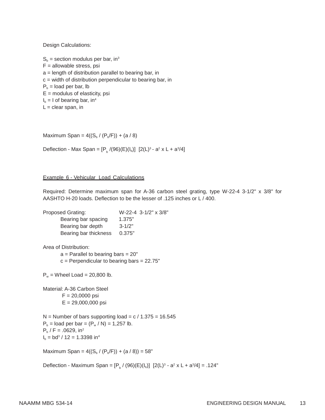Design Calculations:

 $S_b$  = section modulus per bar, in<sup>3</sup>  $F =$  allowable stress, psi a = length of distribution parallel to bearing bar, in c = width of distribution perpendicular to bearing bar, in  $P_b$  = load per bar, lb  $E =$  modulus of elasticity, psi  $I<sub>b</sub> = I$  of bearing bar, in<sup>4</sup>  $L =$  clear span, in

Maximum Span =  $4((S_b / (P_b/F)) + (a / 8)$ 

Deflection - Max Span =  $[P_b / (96)(E)(I_b)]$  [2(L)<sup>3</sup> - a<sup>2</sup> x L + a<sup>3</sup>/4]

#### Example 6 - Vehicular Load Calculations

Required: Determine maximum span for A-36 carbon steel grating, type W-22-4 3-1/2" x 3/8" for AASHTO H-20 loads. Deflection to be the lesser of .125 inches or L / 400.

Proposed Grating: W-22-4 3-1/2" x 3/8" Bearing bar spacing 1.375" Bearing bar depth 3-1/2" Bearing bar thickness 0.375"

Area of Distribution:

 $a =$  Parallel to bearing bars = 20"  $c = Perpendicular to bearing bars = 22.75"$ 

 $P_w$  = Wheel Load = 20,800 lb.

Material: A-36 Carbon Steel  $F = 20,0000$  psi E = 29,000,000 psi

 $N =$  Number of bars supporting load = c / 1.375 = 16.545  $P_b =$  load per bar =  $(P_w / N) = 1,257$  lb.  $P_b$  / F = .0629, in<sup>2</sup>  $I_b = bd^3 / 12 = 1.3398$  in<sup>4</sup>

Maximum Span =  $4((S_b / (P_b/F)) + (a / 8)) = 58"$ 

Deflection - Maximum Span =  $[P_b / (96)(E)(I_b)]$  [2(L)<sup>3</sup> - a<sup>2</sup> x L + a<sup>3</sup>/4] = .124"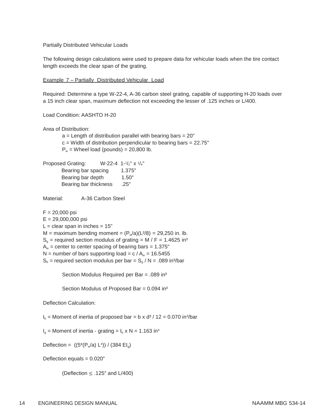Partially Distributed Vehicular Loads

The following design calculations were used to prepare data for vehicular loads when the tire contact length exceeds the clear span of the grating.

Example 7 – Partially Distributed Vehicular Load

Required: Determine a type W-22-4, A-36 carbon steel grating, capable of supporting H-20 loads over a 15 inch clear span, maximum deflection not exceeding the lesser of .125 inches or L/400.

Load Condition: AASHTO H-20

Area of Distribution:

 $a =$  Length of distribution parallel with bearing bars =  $20"$  $c =$  Width of distribution perpendicular to bearing bars = 22.75"  $P_w$  = Wheel load (pounds) = 20,800 lb.

Proposed Grating:  $W-22-4$  1- $1/2$ " x  $1/4$ " Bearing bar spacing 1.375"

| Bearing bar depth     | 1.50" |
|-----------------------|-------|
| Bearing bar thickness | .25"  |

Material: A-36 Carbon Steel

 $F = 20,000$  psi

 $E = 29,000,000$  psi

 $L =$  clear span in inches = 15"

 $M =$  maximum bending moment =  $(P_w/a)(L^2/8) = 29,250$  in. lb.

 $S<sub>o</sub>$  = required section modulus of grating = M / F = 1.4625 in<sup>3</sup>

 $A_w$  = center to center spacing of bearing bars = 1.375"

N = number of bars supporting load =  $c / A_w = 16.5455$ 

 $S_b$  = required section modulus per bar =  $S_a / N = .089$  in<sup>3</sup>/bar

Section Modulus Required per Bar = .089 in³

Section Modulus of Proposed Bar =  $0.094$  in $3$ 

Deflection Calculation:

 $I<sub>b</sub>$  = Moment of inertia of proposed bar = b x d<sup>3</sup> / 12 = 0.070 in<sup>4</sup>/bar

 $I<sub>a</sub>$  = Moment of inertia - grating =  $I<sub>b</sub>$  x N = 1.163 in<sup>4</sup>

Deflection =  $((5*(P_w/a) L^4)) / (384 El_g)$ 

Deflection equals  $= 0.020"$ 

(Deflection  $\leq$  .125" and L/400)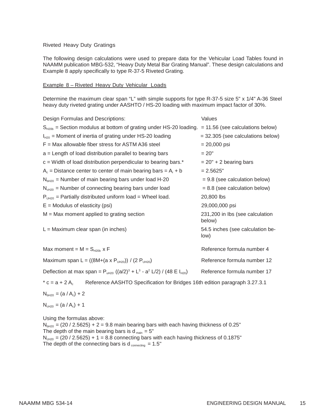#### Riveted Heavy Duty Gratings

The following design calculations were used to prepare data for the Vehicular Load Tables found in NAAMM publication MBG-532, "Heavy Duty Metal Bar Grating Manual". These design calculations and Example 8 apply specifically to type R-37-5 Riveted Grating.

#### Example 8 – Riveted Heavy Duty Vehicular Loads

Determine the maximum clear span "L" with simple supports for type R-37-5 size 5" x 1/4" A-36 Steel heavy duty riveted grating under AASHTO / HS-20 loading with maximum impact factor of 30%.

| Design Formulas and Descriptions:                                                                                         | Values                                    |  |  |  |
|---------------------------------------------------------------------------------------------------------------------------|-------------------------------------------|--|--|--|
| $S_{H20b}$ = Section modulus at bottom of grating under HS-20 loading.                                                    | $= 11.56$ (see calculations below)        |  |  |  |
| $I_{H20}$ = Moment of inertia of grating under HS-20 loading                                                              | $=$ 32.305 (see calculations below)       |  |  |  |
| $F =$ Max allowable fiber stress for ASTM A36 steel                                                                       | $= 20,000$ psi                            |  |  |  |
| a = Length of load distribution parallel to bearing bars                                                                  | $= 20"$                                   |  |  |  |
| $c =$ Width of load distribution perpendicular to bearing bars.*                                                          | $= 20" + 2$ bearing bars                  |  |  |  |
| $A_c$ = Distance center to center of main bearing bars = $A_r$ + b                                                        | $= 2.5625"$                               |  |  |  |
| $NbH20$ = Number of main bearing bars under load H-20                                                                     | $= 9.8$ (see calculation below)           |  |  |  |
| $N_{cH20}$ = Number of connecting bearing bars under load                                                                 | $= 8.8$ (see calculation below)           |  |  |  |
| $P_{UH20}$ = Partially distributed uniform load = Wheel load.                                                             | 20,800 lbs                                |  |  |  |
| $E =$ Modulus of elasticity (psi)                                                                                         | 29,000,000 psi                            |  |  |  |
| $M = Max$ moment applied to grating section                                                                               | 231,200 in Ibs (see calculation<br>below) |  |  |  |
| $L =$ Maximum clear span (in inches)                                                                                      | 54.5 inches (see calculation be-<br>low)  |  |  |  |
| Max moment = $M = S_{H20b}$ x F                                                                                           | Reference formula number 4                |  |  |  |
| Maximum span L = ((8M+(a x P <sub>UH20</sub> )) / (2 P <sub>UH20</sub> )                                                  | Reference formula number 12               |  |  |  |
| Deflection at max span = $P_{uH20}$ ((a/2) <sup>3</sup> + L <sup>3</sup> - a <sup>2</sup> L/2) / (48 E I <sub>H20</sub> ) | Reference formula number 17               |  |  |  |
| $^*$ c = a + 2 A<br>Reference AASHTO Specification for Bridges 16th edition paragraph 3.27.3.1                            |                                           |  |  |  |
| $N_{bH20} = (a / A_c) + 2$                                                                                                |                                           |  |  |  |
| $N_{cH20} = (a / A_c) + 1$                                                                                                |                                           |  |  |  |

Using the formulas above:

 $N<sub>bH20</sub> = (20 / 2.5625) + 2 = 9.8$  main bearing bars with each having thickness of 0.25" The depth of the main bearing bars is  $d_{\text{main}} = 5$ "  $N_{\text{ch20}} = (20 / 2.5625) + 1 = 8.8$  connecting bars with each having thickness of 0.1875" The depth of the connecting bars is  $d_{\text{connecting}} = 1.5"$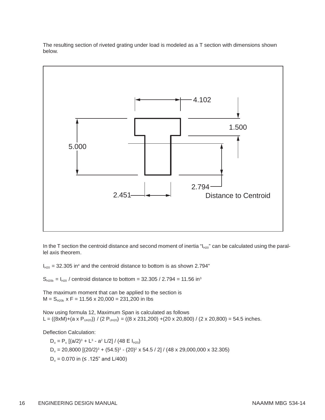The resulting section of riveted grating under load is modeled as a T section with dimensions shown below.



In the T section the centroid distance and second moment of inertia " $I_{H20}$ " can be calculated using the parallel axis theorem.

 $I_{H20}$  = 32.305 in<sup>4</sup> and the centroid distance to bottom is as shown 2.794"

 $S_{H20b} = I_{H20}$  / centroid distance to bottom = 32.305 / 2.794 = 11.56 in<sup>3</sup>

The maximum moment that can be applied to the section is  $M = S_{H20b}$  x F = 11.56 x 20,000 = 231,200 in lbs

Now using formula 12, Maximum Span is calculated as follows L =  $((8xM)+(a \times P<sub>UH20</sub>)) / (2 P<sub>UH20</sub>) = ((8 \times 231,200) + (20 \times 20,800) / (2 \times 20,800) = 54.5$  inches.

Deflection Calculation:

 $D_u = P_u [(a/2)^3 + L^3 - a^2 L/2] / (48 E I_{H20})$  $D_u = 20,8000$   $[(20/2)^3 + (54.5)^3 - (20)^2 \times 54.5 / 2] / (48 \times 29,000,000 \times 32.305)$  $D<sub>u</sub>$  = 0.070 in (≤ .125" and L/400)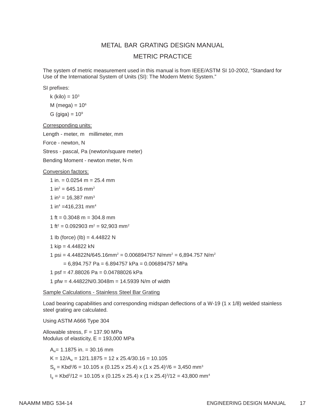#### METAL BAR GRATING DESIGN MANUAL

#### METRIC PRACTICE

The system of metric measurement used in this manual is from IEEE/ASTM SI 10-2002, "Standard for Use of the International System of Units (SI): The Modern Metric System."

SI prefixes:

k (kilo) =  $10^3$ 

M (mega) =  $10<sup>6</sup>$ 

G (giga) =  $10^9$ 

Corresponding units:

Length - meter, m millimeter, mm

Force - newton, N

Stress - pascal, Pa (newton/square meter)

Bending Moment - newton meter, N-m

#### Conversion factors:

 $1 in. = 0.0254 m = 25.4 mm$ 

1 in<sup>2</sup> = 645.16 mm<sup>2</sup>

1 in<sup>3</sup> = 16,387 mm<sup>3</sup>

1 in<sup>4</sup> =416,231 mm<sup>4</sup>

1 ft =  $0.3048$  m =  $304.8$  mm

1 ft<sup>2</sup> = 0.092903 m<sup>2</sup> = 92,903 mm<sup>2</sup>

```
1 lb (force) (lb) = 4.44822 N
```
1 kip = 4.44822 kN

1 psi =  $4.44822N/645.16mm^2$  = 0.006894757 N/mm<sup>2</sup> = 6,894.757 N/m<sup>2</sup>

 $= 6,894.757$  Pa = 6.894757 kPa = 0.006894757 MPa

1 psf = 47.88026 Pa = 0.04788026 kPa

1 pfw = 4.44822N/0.3048m = 14.5939 N/m of width

Sample Calculations - Stainless Steel Bar Grating

Load bearing capabilities and corresponding midspan deflections of a W-19 (1 x 1/8) welded stainless steel grating are calculated.

Using ASTM A666 Type 304

Allowable stress, F = 137.90 MPa Modulus of elasticity,  $E = 193,000$  MPa

 $A_w$ = 1.1875 in. = 30.16 mm

 $K = 12/A<sub>w</sub> = 12/1.1875 = 12 \times 25.4/30.16 = 10.105$ 

 $S_g = Kbd^2/6 = 10.105 \times (0.125 \times 25.4) \times (1 \times 25.4)^2/6 = 3,450 \text{ mm}^3$ 

 $I_g = Kbd^3/12 = 10.105 \times (0.125 \times 25.4) \times (1 \times 25.4)^3/12 = 43{,}800 \text{ mm}^4$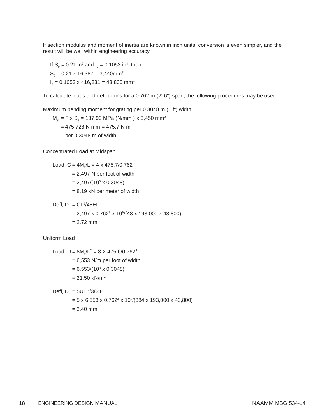If section modulus and moment of inertia are known in inch units, conversion is even simpler, and the result will be well within engineering accuracy.

If  $S_g = 0.21$  in<sup>3</sup> and  $I_g = 0.1053$  in<sup>4</sup>, then  $S_q = 0.21 \times 16,387 = 3,440$ mm<sup>3</sup>  $I<sub>a</sub> = 0.1053 \times 416,231 = 43,800$  mm<sup>4</sup>

To calculate loads and deflections for a 0.762 m (2'-6") span, the following procedures may be used:

Maximum bending moment for grating per 0.3048 m (1 ft) width

 $M_g$  = F x S<sub>g</sub> = 137.90 MPa (N/mm<sup>2</sup>) x 3,450 mm<sup>3</sup>  $= 475,728$  N mm = 475.7 N m per 0.3048 m of width

Concentrated Load at Midspan

Load,  $C = 4M<sub>g</sub>/L = 4 \times 475.7/0.762$  $= 2,497$  N per foot of width

 $= 2,497/(10<sup>3</sup> \times 0.3048)$ 

= 8.19 kN per meter of width

Defl,  $D_c = CL^3/48EI$ 

= 2,497 x 0.7623 x 109 /(48 x 193,000 x 43,800)

 $= 2.72$  mm

Uniform Load

Load,  $U = 8M_0/L^2 = 8 \times 475.6/0.762^2$  $= 6,553$  N/m per foot of width

 $= 6,553/(10^3 \times 0.3048)$ 

 $= 21.50$  kN/m<sup>2</sup>

Defl,  $D_u = 5UL$  4/384EI

= 5 x 6,553 x 0.7624 x 109 /(384 x 193,000 x 43,800)  $= 3.40$  mm